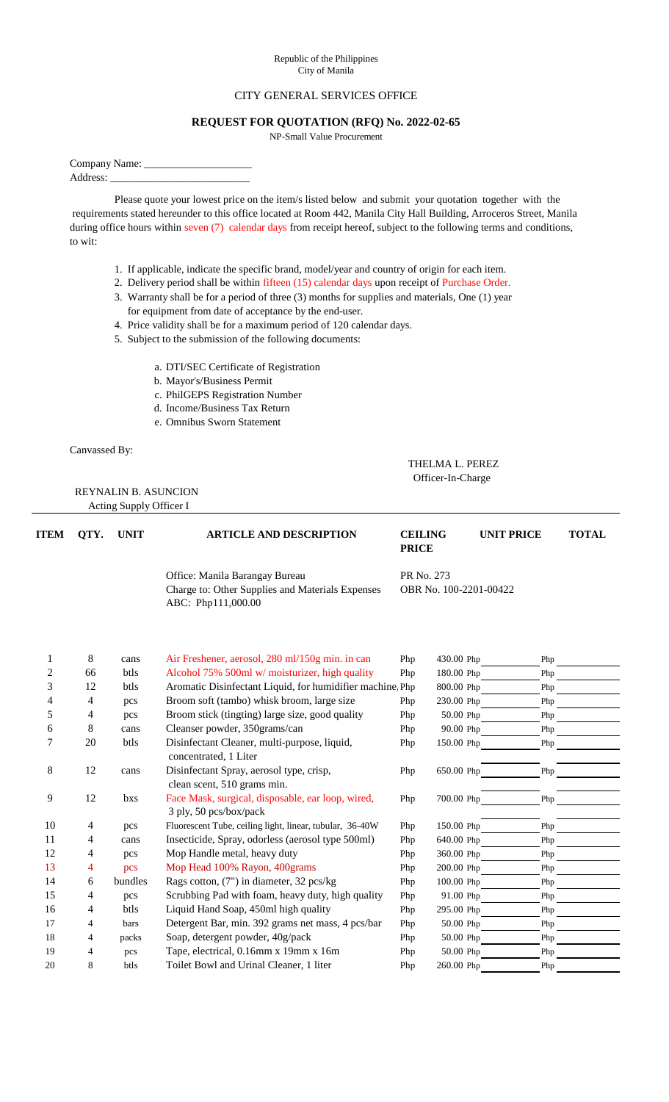## Republic of the Philippines City of Manila

## CITY GENERAL SERVICES OFFICE

## **REQUEST FOR QUOTATION (RFQ) No. 2022-02-65**

NP-Small Value Procurement

Company Name: \_\_\_\_

Address:

Please quote your lowest price on the item/s listed below and submit your quotation together with the requirements stated hereunder to this office located at Room 442, Manila City Hall Building, Arroceros Street, Manila during office hours within seven (7) calendar days from receipt hereof, subject to the following terms and conditions, to wit:

- 1. If applicable, indicate the specific brand, model/year and country of origin for each item.
- 2. Delivery period shall be within fifteen (15) calendar days upon receipt of Purchase Order.
- 3. Warranty shall be for a period of three (3) months for supplies and materials, One (1) year for equipment from date of acceptance by the end-user.

 THELMA L. PEREZ Officer-In-Charge

- 4. Price validity shall be for a maximum period of 120 calendar days.
- 5. Subject to the submission of the following documents:
	- a. DTI/SEC Certificate of Registration
	- b. Mayor's/Business Permit
	- c. PhilGEPS Registration Number
	- d. Income/Business Tax Return
	- e. Omnibus Sworn Statement
- 

Canvassed By:

REYNALIN B. ASUNCION

Acting Supply Officer I

**ITEM QTY. UNIT UNIT PRICE TOTAL ARTICLE AND DESCRIPTIONPRICE** Office: Manila Barangay Bureau PR No. 273 Charge to: Other Supplies and Materials Expenses OBR No. 100-2201-00422 ABC: Php111,000.00 1 8 cans Air Freshener, aerosol, 280 ml/150g min. in can Php 430.00 Php Php 2 66 btls Alcohol 75% 500ml w/ moisturizer, high quality Php 180.00 Php Php 3 12 btls Aromatic Disinfectant Liquid, for humidifier machine, Php 800.00 Php Php 4 4 pcs Broom soft (tambo) whisk broom, large size Php 230.00 Php Php 5 4 pcs Broom stick (tingting) large size, good quality Php 50.00 Php Php 6 8 cans Cleanser powder, 350grams/can Php 90.00 Php Php 7 20 btls Disinfectant Cleaner, multi-purpose, liquid, Php 150.00 Php Php concentrated, 1 Liter 8 12 cans Disinfectant Spray, aerosol type, crisp, Php 650.00 Php Php clean scent, 510 grams min. 9 12 bxs Face Mask, surgical, disposable, ear loop, wired, Php 700.00 Php Php 3 ply, 50 pcs/box/pack 10 4 pcs Fluorescent Tube, ceiling light, linear, tubular, 36-40W Php 150.00 Php Php 11 4 cans Insecticide, Spray, odorless (aerosol type 500ml) Php 640.00 Php Php 12 4 pcs Mop Handle metal, heavy duty Php 360.00 Php Php<br>
13 4 pcs Mop Head 100% Rayon, 400grams Php 200.00 Php Php 13 4 pcs Mop Head 100% Rayon, 400grams Php 200.00 Php Php 14 6 bundles Rags cotton, (7") in diameter, 32 pcs/kg Php 100.00 Php Php 15 4 pcs Scrubbing Pad with foam, heavy duty, high quality Php 91.00 Php Php 16 4 btls Liquid Hand Soap, 450ml high quality Php 295.00 Php Php 17 4 bars Detergent Bar, min. 392 grams net mass, 4 pcs/bar Php 50.00 Php Php 18 4 packs Soap, detergent powder,  $40g$ /pack Php 50.00 Php Php 19 4 pcs Tape, electrical, 0.16mm x 19mm x 16m Php 50.00 Php Php 20 8 btls Toilet Bowl and Urinal Cleaner, 1 liter Php 260.00 Php Php **CEILING**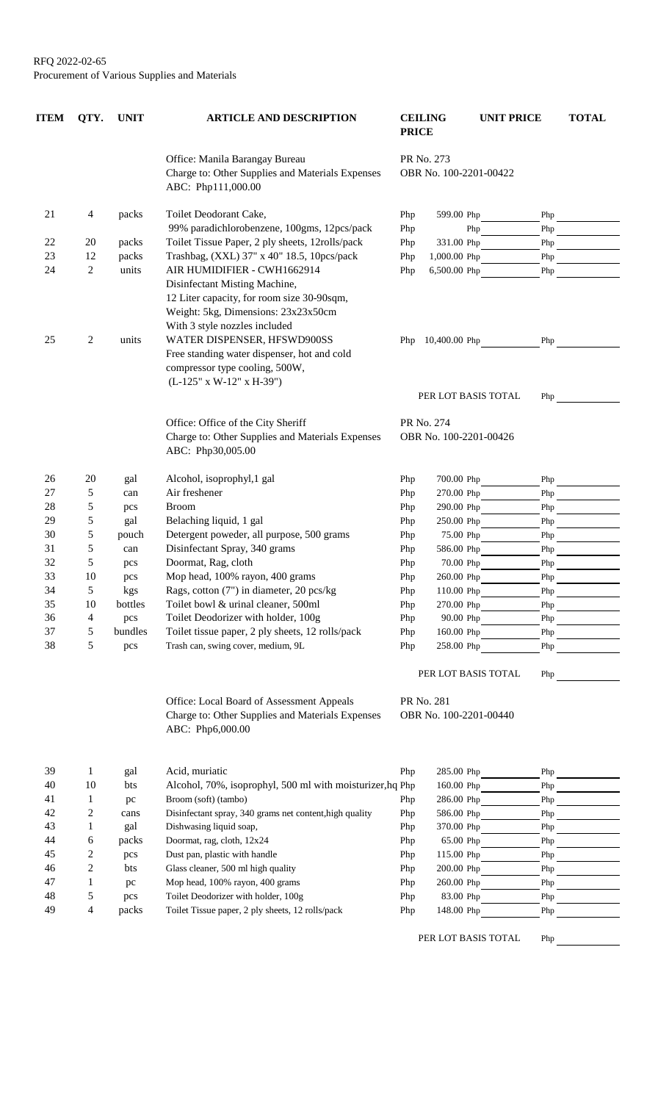| <b>ITEM</b> | QTY.           | <b>UNIT</b> | <b>ARTICLE AND DESCRIPTION</b>                                                                                                                                                                                                                                      | <b>PRICE</b>                         | <b>CEILING</b>                       | <b>UNIT PRICE</b> | <b>TOTAL</b>                                                                                                                                                                                                                                  |
|-------------|----------------|-------------|---------------------------------------------------------------------------------------------------------------------------------------------------------------------------------------------------------------------------------------------------------------------|--------------------------------------|--------------------------------------|-------------------|-----------------------------------------------------------------------------------------------------------------------------------------------------------------------------------------------------------------------------------------------|
|             |                |             | Office: Manila Barangay Bureau<br>Charge to: Other Supplies and Materials Expenses<br>ABC: Php111,000.00                                                                                                                                                            | PR No. 273<br>OBR No. 100-2201-00422 |                                      |                   |                                                                                                                                                                                                                                               |
| 21          | 4              | packs       | Toilet Deodorant Cake,                                                                                                                                                                                                                                              | Php                                  | 599.00 Php                           | Php               |                                                                                                                                                                                                                                               |
|             |                |             | 99% paradichlorobenzene, 100gms, 12pcs/pack                                                                                                                                                                                                                         | Php                                  |                                      | Php<br>Php        |                                                                                                                                                                                                                                               |
| 22          | 20             | packs       | Toilet Tissue Paper, 2 ply sheets, 12rolls/pack                                                                                                                                                                                                                     | Php                                  | 331.00 Php                           | Php               | $\label{eq:2} \mathcal{L} = \left\{ \begin{array}{ll} \mathcal{L}^{\text{max}}_{\text{max}} & \mathcal{L}^{\text{max}}_{\text{max}} \\ \mathcal{L}^{\text{max}}_{\text{max}} & \mathcal{L}^{\text{max}}_{\text{max}} \end{array} \right. \ .$ |
| 23          | 12             | packs       | Trashbag, (XXL) 37" x 40" 18.5, 10pcs/pack                                                                                                                                                                                                                          | Php                                  | 1,000.00 Php                         | Php               |                                                                                                                                                                                                                                               |
| 24          | $\mathbf{2}$   | units       | AIR HUMIDIFIER - CWH1662914                                                                                                                                                                                                                                         | Php                                  | 6,500.00 Php                         | Php               |                                                                                                                                                                                                                                               |
| 25          | 2              | units       | Disinfectant Misting Machine,<br>12 Liter capacity, for room size 30-90sqm,<br>Weight: 5kg, Dimensions: 23x23x50cm<br>With 3 style nozzles included<br>WATER DISPENSER, HFSWD900SS<br>Free standing water dispenser, hot and cold<br>compressor type cooling, 500W, |                                      | Php 10,400.00 Php                    | Php               |                                                                                                                                                                                                                                               |
|             |                |             | (L-125" x W-12" x H-39")                                                                                                                                                                                                                                            |                                      | PER LOT BASIS TOTAL                  | Php               |                                                                                                                                                                                                                                               |
|             |                |             | Office: Office of the City Sheriff<br>Charge to: Other Supplies and Materials Expenses<br>ABC: Php30,005.00                                                                                                                                                         |                                      | PR No. 274<br>OBR No. 100-2201-00426 |                   |                                                                                                                                                                                                                                               |
| 26          | 20             | gal         | Alcohol, isoprophyl, 1 gal                                                                                                                                                                                                                                          | Php                                  | 700.00 Php                           |                   |                                                                                                                                                                                                                                               |
| 27          | 5              | can         | Air freshener                                                                                                                                                                                                                                                       | Php                                  | 270.00 Php                           | Php               |                                                                                                                                                                                                                                               |
| 28          | 5              | pcs         | <b>Broom</b>                                                                                                                                                                                                                                                        | Php                                  | 290.00 Php                           | Php               |                                                                                                                                                                                                                                               |
| 29          | 5              | gal         | Belaching liquid, 1 gal                                                                                                                                                                                                                                             | Php                                  | 250.00 Php                           | Php               |                                                                                                                                                                                                                                               |
| 30          | 5              | pouch       | Detergent poweder, all purpose, 500 grams                                                                                                                                                                                                                           | Php                                  | 75.00 Php                            | Php               |                                                                                                                                                                                                                                               |
| 31          | 5              | can         | Disinfectant Spray, 340 grams                                                                                                                                                                                                                                       | Php                                  | 586.00 Php                           | Php               |                                                                                                                                                                                                                                               |
| 32          | 5              | pcs         | Doormat, Rag, cloth                                                                                                                                                                                                                                                 | Php                                  | 70.00 Php                            | Php               |                                                                                                                                                                                                                                               |
| 33          | 10             | pcs         | Mop head, 100% rayon, 400 grams                                                                                                                                                                                                                                     | Php                                  | 260.00 Php                           | Php               |                                                                                                                                                                                                                                               |
| 34          | 5              | kgs         | Rags, cotton (7") in diameter, 20 pcs/kg                                                                                                                                                                                                                            | Php                                  | 110.00 Php                           | ${\rm Php}$       |                                                                                                                                                                                                                                               |
| 35          | 10             | bottles     | Toilet bowl & urinal cleaner, 500ml                                                                                                                                                                                                                                 | Php                                  | 270.00 Php                           | ${\rm Php}$       |                                                                                                                                                                                                                                               |
| 36          | 4              | pcs         | Toilet Deodorizer with holder, 100g                                                                                                                                                                                                                                 | Php                                  | 90.00 Php                            | Php               |                                                                                                                                                                                                                                               |
| 37          | 5              | bundles     | Toilet tissue paper, 2 ply sheets, 12 rolls/pack                                                                                                                                                                                                                    | Php                                  | 160.00 Php                           | Php               |                                                                                                                                                                                                                                               |
| 38          | 5              | pcs         | Trash can, swing cover, medium, 9L                                                                                                                                                                                                                                  | Php                                  | 258.00 Php                           | Php               |                                                                                                                                                                                                                                               |
|             |                |             |                                                                                                                                                                                                                                                                     |                                      | PER LOT BASIS TOTAL                  | Php               |                                                                                                                                                                                                                                               |
|             |                |             | Office: Local Board of Assessment Appeals                                                                                                                                                                                                                           |                                      | PR No. 281                           |                   |                                                                                                                                                                                                                                               |
|             |                |             | Charge to: Other Supplies and Materials Expenses<br>ABC: Php6,000.00                                                                                                                                                                                                |                                      | OBR No. 100-2201-00440               |                   |                                                                                                                                                                                                                                               |
| 39          | $\mathbf{1}$   |             | Acid, muriatic                                                                                                                                                                                                                                                      |                                      |                                      |                   |                                                                                                                                                                                                                                               |
| 40          | 10             | gal<br>bts  | Alcohol, 70%, isoprophyl, 500 ml with moisturizer, hq Php                                                                                                                                                                                                           | Php                                  | 285.00 Php<br>160.00 Php             | Php               | Php                                                                                                                                                                                                                                           |
| 41          | 1              |             | Broom (soft) (tambo)                                                                                                                                                                                                                                                |                                      | 286.00 Php                           |                   |                                                                                                                                                                                                                                               |
| 42          | $\overline{c}$ | pc<br>cans  | Disinfectant spray, 340 grams net content, high quality                                                                                                                                                                                                             | Php<br>Php                           | 586.00 Php                           | Php<br>Php        |                                                                                                                                                                                                                                               |
| 43          | 1              | gal         | Dishwasing liquid soap,                                                                                                                                                                                                                                             | Php                                  | 370.00 Php                           | ${\rm Php}$       |                                                                                                                                                                                                                                               |
| 44          | 6              | packs       | Doormat, rag, cloth, 12x24                                                                                                                                                                                                                                          | Php                                  | 65.00 Php                            | Php               |                                                                                                                                                                                                                                               |
| 45          | 2              | pcs         | Dust pan, plastic with handle                                                                                                                                                                                                                                       | Php                                  | 115.00 Php                           | Php               |                                                                                                                                                                                                                                               |
| 46          | 2              | bts         | Glass cleaner, 500 ml high quality                                                                                                                                                                                                                                  | Php                                  | 200.00 Php                           | Php               | <b>Contract Contract Contract</b>                                                                                                                                                                                                             |
| 47          | 1              | pc          | Mop head, 100% rayon, 400 grams                                                                                                                                                                                                                                     | Php                                  | 260.00 Php                           | Php               |                                                                                                                                                                                                                                               |
| 48          | 5              | pcs         | Toilet Deodorizer with holder, 100g                                                                                                                                                                                                                                 | Php                                  | 83.00 Php                            | Php               |                                                                                                                                                                                                                                               |
|             |                |             |                                                                                                                                                                                                                                                                     |                                      |                                      |                   |                                                                                                                                                                                                                                               |

49 4 packs Toilet Deodorizer with holder, 100g<br>4 packs Toilet Tissue paper, 2 ply sheets, 12 rolls/pack Php 148.00 Php Php

PER LOT BASIS TOTAL Php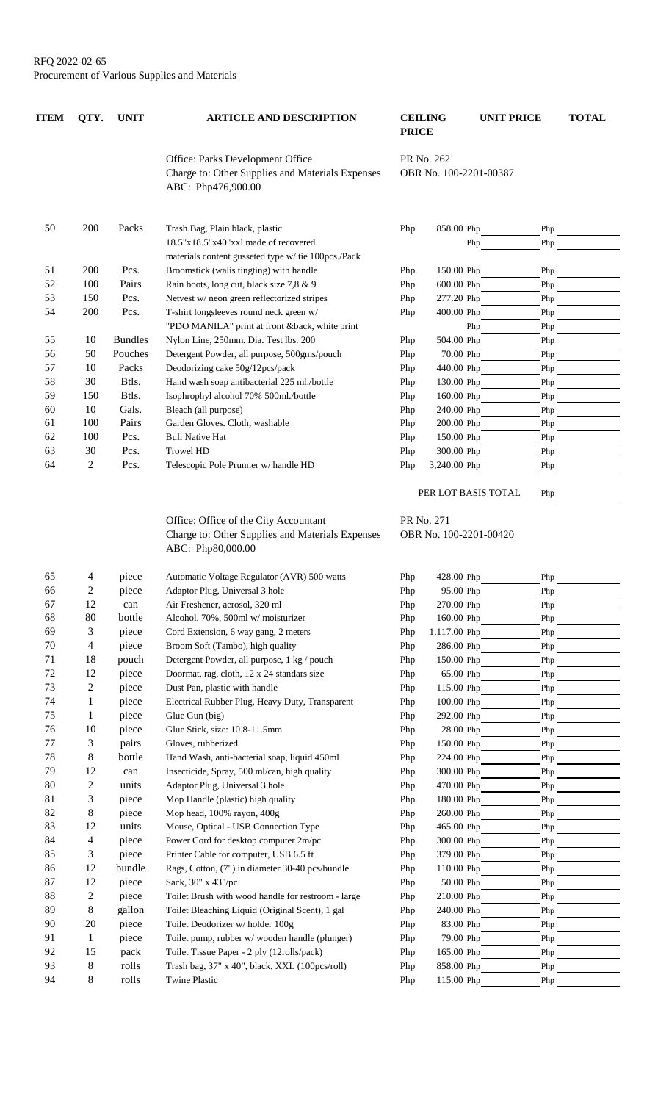| <b>ITEM</b> | QTY.         | <b>UNIT</b>    | <b>ARTICLE AND DESCRIPTION</b>                                                                                 | <b>CEILING</b><br><b>PRICE</b>       |                          | <b>UNIT PRICE</b>          | <b>TOTAL</b> |
|-------------|--------------|----------------|----------------------------------------------------------------------------------------------------------------|--------------------------------------|--------------------------|----------------------------|--------------|
|             |              |                | Office: Parks Development Office<br>Charge to: Other Supplies and Materials Expenses<br>ABC: Php476,900.00     | PR No. 262<br>OBR No. 100-2201-00387 |                          |                            |              |
| 50          | 200          | Packs          | Trash Bag, Plain black, plastic                                                                                | Php                                  | 858.00 Php               | Php                        |              |
|             |              |                | 18.5"x18.5"x40"xxl made of recovered<br>materials content gusseted type w/ tie 100pcs./Pack                    |                                      |                          | Php<br>Php                 |              |
| 51          | 200          | Pcs.           | Broomstick (walis tingting) with handle                                                                        | Php                                  | 150.00 Php               | Php                        |              |
| 52          | 100          | Pairs          | Rain boots, long cut, black size 7,8 & 9                                                                       | Php                                  | 600.00 Php               | Php                        |              |
| 53          | 150          | Pcs.           | Netvest w/ neon green reflectorized stripes                                                                    | Php                                  | 277.20 Php               | Php                        |              |
| 54          | 200          | Pcs.           | T-shirt longsleeves round neck green w/                                                                        | Php                                  | 400.00 Php               | Php                        |              |
|             |              |                | "PDO MANILA" print at front &back, white print                                                                 |                                      |                          | Php<br>Php                 |              |
| 55          | 10           | <b>Bundles</b> | Nylon Line, 250mm. Dia. Test lbs. 200                                                                          | Php                                  | 504.00 Php               | Php                        |              |
| 56          | 50           | Pouches        | Detergent Powder, all purpose, 500gms/pouch                                                                    | Php                                  | 70.00 Php                | Php                        |              |
| 57          | 10           | Packs          | Deodorizing cake 50g/12pcs/pack                                                                                | Php                                  | 440.00 Php               | Php                        |              |
| 58          | 30           | Btls.          | Hand wash soap antibacterial 225 ml./bottle                                                                    | Php                                  | 130.00 Php               | Php                        |              |
| 59          | 150          | Btls.          | Isophrophyl alcohol 70% 500ml./bottle                                                                          | Php                                  | 160.00 Php               | Php                        |              |
| 60          | 10           | Gals.          | Bleach (all purpose)                                                                                           | Php                                  | 240.00 Php               | Php                        |              |
| 61          | 100          | Pairs          | Garden Gloves. Cloth, washable                                                                                 | Php                                  | 200.00 Php               | ${\rm Php}$                |              |
| 62          | 100          | Pcs.           | <b>Buli Native Hat</b>                                                                                         | Php                                  | 150.00 Php               | Php                        |              |
| 63          | 30           | Pcs.           | <b>Trowel HD</b>                                                                                               | Php                                  | 300.00 Php               | Php                        |              |
| 64          | 2            | Pcs.           | Telescopic Pole Prunner w/handle HD                                                                            | Php                                  | 3,240.00 Php             | Php                        |              |
|             |              |                |                                                                                                                |                                      |                          | PER LOT BASIS TOTAL<br>Php |              |
|             |              |                | Office: Office of the City Accountant<br>Charge to: Other Supplies and Materials Expenses<br>ABC: Php80,000.00 | PR No. 271                           | OBR No. 100-2201-00420   |                            |              |
| 65          | 4            | piece          | Automatic Voltage Regulator (AVR) 500 watts                                                                    | Php                                  | 428.00 Php               | Php                        |              |
| 66          | 2            | piece          | Adaptor Plug, Universal 3 hole                                                                                 | Php                                  | 95.00 Php                | Php                        |              |
| 67          | 12           | can            | Air Freshener, aerosol, 320 ml                                                                                 | Php                                  | 270.00 Php               | Php                        |              |
| 68          | 80           | bottle         | Alcohol, 70%, 500ml w/moisturizer                                                                              | Php                                  | 160.00 Php               | Php                        |              |
| 69          | 3            | piece          | Cord Extension, 6 way gang, 2 meters                                                                           | Php                                  | 1,117.00 Php             | ${\rm Php}$                |              |
| 70          | 4            | piece          | Broom Soft (Tambo), high quality                                                                               | Php                                  | 286.00 Php               | Php                        |              |
| 71          | 18           | pouch          | Detergent Powder, all purpose, 1 kg / pouch                                                                    | Php                                  | 150.00 Php               | Php                        |              |
| 72          | 12           | piece          | Doormat, rag, cloth, 12 x 24 standars size                                                                     | Php                                  | 65.00 Php                | Php                        |              |
| 73          | 2            | piece          | Dust Pan, plastic with handle                                                                                  | Php                                  | 115.00 Php               | Php                        |              |
| 74          | $\mathbf{1}$ | piece          | Electrical Rubber Plug, Heavy Duty, Transparent                                                                | Php                                  | $100.00$ Php             | Php                        |              |
| 75          | $\mathbf{1}$ | piece          | Glue Gun (big)                                                                                                 | Php                                  | 292.00 Php               | Php                        |              |
| 76          | 10           | piece          | Glue Stick, size: 10.8-11.5mm                                                                                  | Php                                  | 28.00 Php                | Php                        |              |
| 77          | 3            | pairs          | Gloves, rubberized                                                                                             | Php                                  | 150.00 Php               | Php                        |              |
| 78<br>79    | 8            | bottle         | Hand Wash, anti-bacterial soap, liquid 450ml                                                                   | Php                                  | 224.00 Php               | Php                        |              |
| 80          | 12           | can            | Insecticide, Spray, 500 ml/can, high quality                                                                   | Php                                  | 300.00 Php               | Php                        |              |
| 81          | 2<br>3       | units<br>piece | Adaptor Plug, Universal 3 hole<br>Mop Handle (plastic) high quality                                            | Php<br>Php                           | 470.00 Php<br>180.00 Php | Php<br>Php                 |              |
| 82          | 8            | piece          | Mop head, 100% rayon, 400g                                                                                     | Php                                  | 260.00 Php               | Php                        |              |
| 83          | 12           | units          | Mouse, Optical - USB Connection Type                                                                           | Php                                  | 465.00 Php               | Php                        |              |
| 84          | 4            | piece          | Power Cord for desktop computer 2m/pc                                                                          | Php                                  | 300.00 Php               | Php                        |              |
| 85          | 3            | piece          | Printer Cable for computer, USB 6.5 ft                                                                         | Php                                  | 379.00 Php               | Php                        |              |
| 86          | 12           | bundle         | Rags, Cotton, (7") in diameter 30-40 pcs/bundle                                                                | Php                                  | 110.00 Php               | Php                        |              |
| 87          | 12           | piece          | Sack, 30" x 43"/pc                                                                                             | Php                                  | 50.00 Php                | Php                        |              |
| 88          | 2            | piece          | Toilet Brush with wood handle for restroom - large                                                             | Php                                  | 210.00 Php               | Php                        |              |
| 89          | 8            | gallon         | Toilet Bleaching Liquid (Original Scent), 1 gal                                                                | Php                                  | 240.00 Php               | Php                        |              |
| 90          | 20           | piece          | Toilet Deodorizer w/holder 100g                                                                                | Php                                  | 83.00 Php                | Php                        |              |
| 91          | 1            | piece          | Toilet pump, rubber w/wooden handle (plunger)                                                                  | Php                                  | 79.00 Php                | Php                        |              |
| 92          | 15           | pack           | Toilet Tissue Paper - 2 ply (12rolls/pack)                                                                     | Php                                  | 165.00 Php               | Php                        |              |
| 93          | 8            | rolls          | Trash bag, 37" x 40", black, XXL (100pcs/roll)                                                                 | Php                                  | 858.00 Php               | Php                        |              |
| 94          | 8            | rolls          | <b>Twine Plastic</b>                                                                                           | Php                                  | 115.00 Php               | Php                        |              |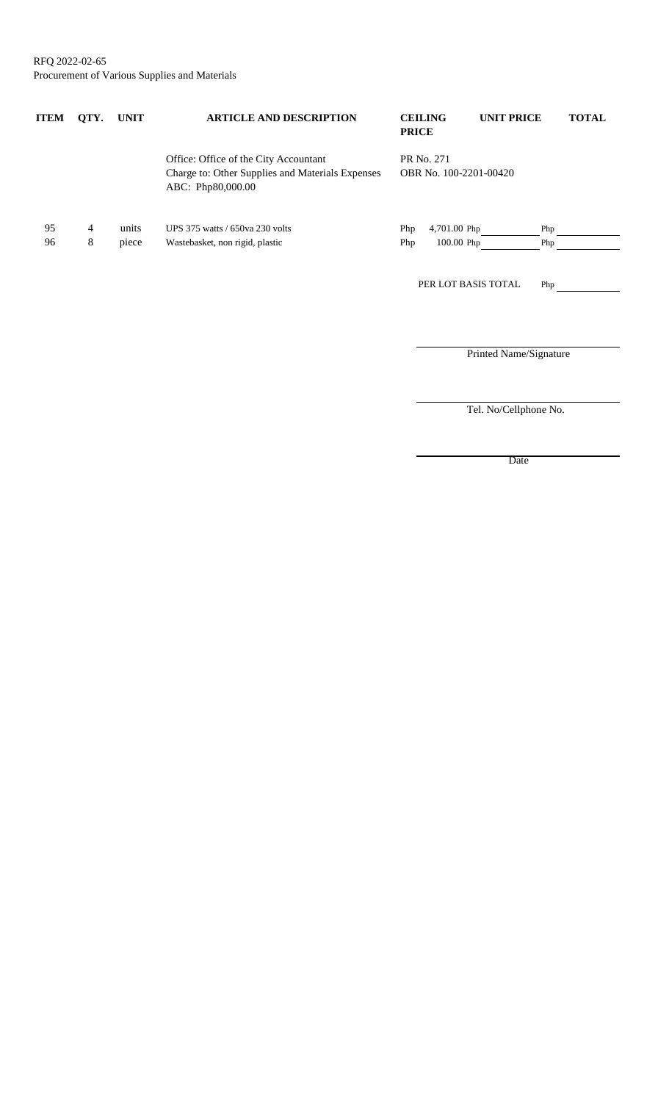RFQ 2022-02-65 Procurement of Various Supplies and Materials

| ITEM | QTY. | <b>UNIT</b> | <b>ARTICLE AND DESCRIPTION</b>                                                                                 | <b>CEILING</b><br><b>PRICE</b> |                        | <b>UNIT PRICE</b>      | <b>TOTAL</b> |
|------|------|-------------|----------------------------------------------------------------------------------------------------------------|--------------------------------|------------------------|------------------------|--------------|
|      |      |             | Office: Office of the City Accountant<br>Charge to: Other Supplies and Materials Expenses<br>ABC: Php80,000.00 | PR No. 271                     | OBR No. 100-2201-00420 |                        |              |
| 95   | 4    | units       | UPS 375 watts / 650 va 230 volts                                                                               | Php                            | 4,701.00 Php           | Php                    |              |
| 96   | 8    | piece       | Wastebasket, non rigid, plastic                                                                                | Php                            | 100.00 Php             | Php                    |              |
|      |      |             |                                                                                                                |                                | PER LOT BASIS TOTAL    | Php                    |              |
|      |      |             |                                                                                                                |                                |                        |                        |              |
|      |      |             |                                                                                                                |                                |                        | Printed Name/Signature |              |

Tel. No/Cellphone No.

Date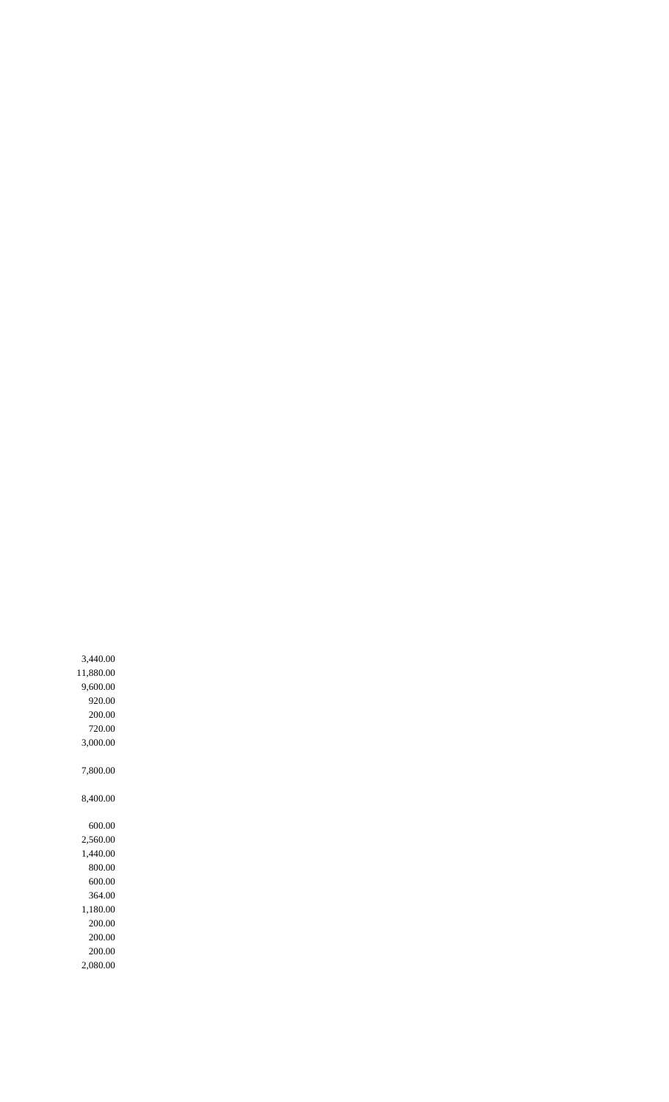8,400.00 600.00 2,560.00 1,440.00 800.00 600.00 364.00 1,180.00 200.00 200.00 200.00 2,080.00

7,800.00

3,000.00

200.00 720.00

920.00

9,600.00

11,880.00

3,440.00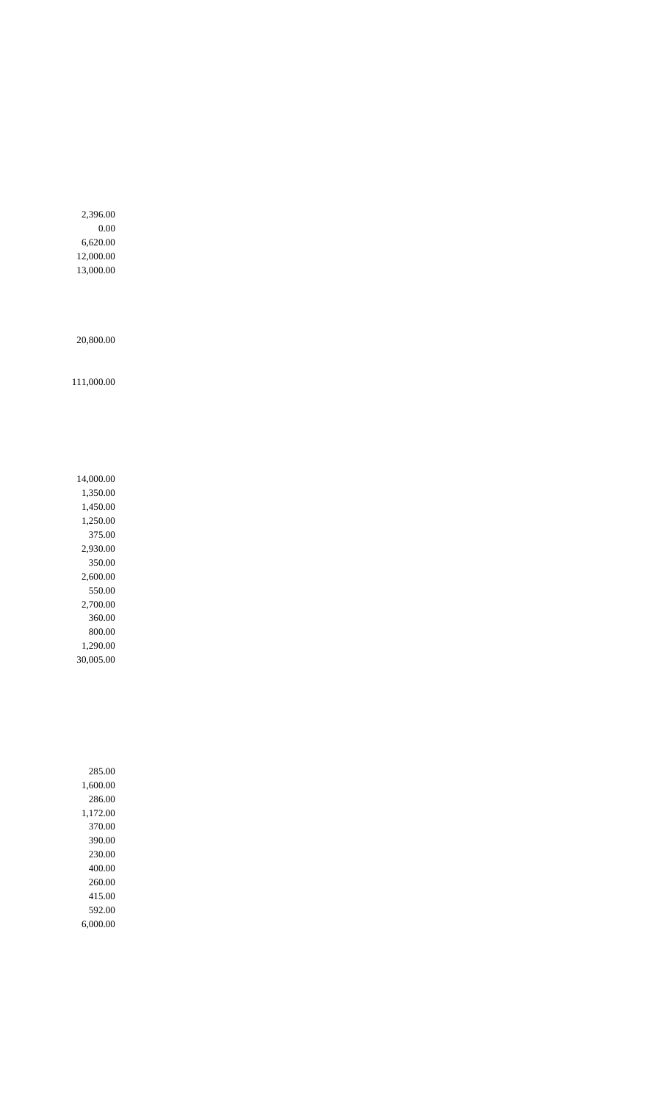2,396.00 0.00 6,620.00 12,000.00 13,000.00

20,800.00

111,000.00

14,000.00 1,350.00 1,450.00 1,250.00 375.00 2,930.00 350.00 2,600.00 550.00 2,700.00 360.00 800.00 1,290.00 30,005.00

285.00 1,600.00 286.00 1,172.00 370.00 390.00 230.00 400.00 260.00 415.00 592.00 6,000.00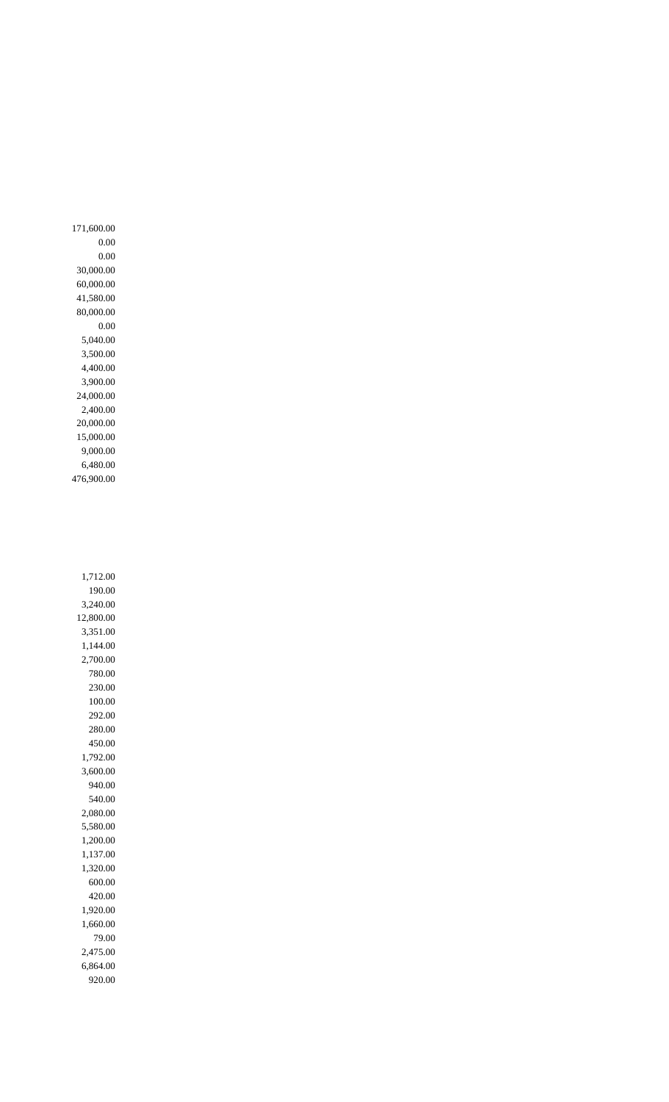171,600.00 0.00 0.00 30,000.00 60,000.00 41,580.00 80,000.00 0.00 5,040.00 3,500.00 4,400.00 3,900.00 24,000.00 2,400.00 20,000.00 15,000.00 9,000.00 6,480.00 476,900.00

1,712.00 190.00 3,240.00 12,800.00 3,351.00 1,144.00 2,700.00 780.00 230.00 100.00 292.00 280.00 450.00 1,792.00 3,600.00 940.00 540.00 2,080.00 5,580.00 1,200.00 1,137.00 1,320.00 600.00 420.00 1,920.00 1,660.00 79.00 2,475.00 6,864.00 920.00